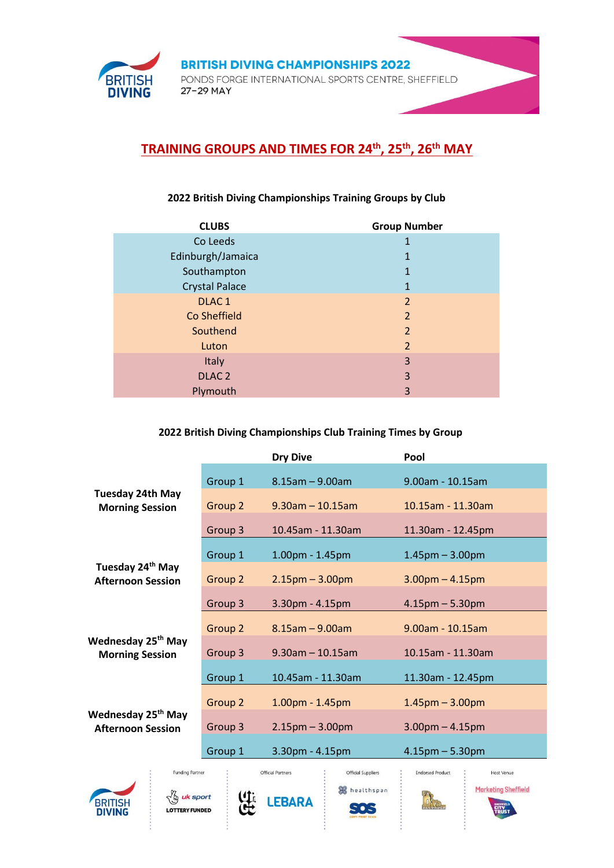

## **TRAINING GROUPS AND TIMES FOR 24th, 25th, 26th MAY**

## **2022 British Diving Championships Training Groups by Club**

| <b>CLUBS</b>          | <b>Group Number</b> |
|-----------------------|---------------------|
| Co Leeds              |                     |
| Edinburgh/Jamaica     |                     |
| Southampton           | 1                   |
| <b>Crystal Palace</b> | 1                   |
| DLAC <sub>1</sub>     | $\overline{2}$      |
| Co Sheffield          | $\overline{2}$      |
| Southend              | $\overline{2}$      |
| Luton                 | $\overline{2}$      |
| Italy                 | 3                   |
| DLAC <sub>2</sub>     | 3                   |
| Plymouth              | 3                   |

## **2022 British Diving Championships Club Training Times by Group**

|                                                                                                                          |                    | <b>Dry Dive</b>        | Pool                   |  |
|--------------------------------------------------------------------------------------------------------------------------|--------------------|------------------------|------------------------|--|
| <b>Tuesday 24th May</b><br><b>Morning Session</b>                                                                        | Group 1            | $8.15$ am $- 9.00$ am  | 9.00am - 10.15am       |  |
|                                                                                                                          | Group 2            | $9.30$ am $- 10.15$ am | 10.15am - 11.30am      |  |
|                                                                                                                          | Group <sub>3</sub> | 10.45am - 11.30am      | 11.30am - 12.45pm      |  |
| Tuesday 24 <sup>th</sup> May<br><b>Afternoon Session</b>                                                                 | Group 1            | 1.00pm - 1.45pm        | $1.45$ pm $-3.00$ pm   |  |
|                                                                                                                          | Group 2            | $2.15$ pm $- 3.00$ pm  | $3.00pm - 4.15pm$      |  |
|                                                                                                                          | Group 3            | 3.30pm - 4.15pm        | $4.15$ pm $- 5.30$ pm  |  |
| Wednesday 25 <sup>th</sup> May<br><b>Morning Session</b>                                                                 | Group 2            | $8.15$ am $- 9.00$ am  | $9.00$ am - $10.15$ am |  |
|                                                                                                                          | Group 3            | $9.30$ am $- 10.15$ am | 10.15am - 11.30am      |  |
|                                                                                                                          | Group 1            | 10.45am - 11.30am      | 11.30am - 12.45pm      |  |
|                                                                                                                          | Group 2            | 1.00pm - 1.45pm        | $1.45$ pm $- 3.00$ pm  |  |
| Wednesday 25 <sup>th</sup> May<br><b>Afternoon Session</b>                                                               | Group 3            | $2.15$ pm $- 3.00$ pm  | $3.00$ pm $- 4.15$ pm  |  |
|                                                                                                                          | Group 1            | 3.30pm - 4.15pm        | $4.15$ pm $- 5.30$ pm  |  |
| <b>Funding Partner</b><br><b>Official Partners</b><br>Official Suppliers<br><b>Endorsed Product</b><br><b>Host Venue</b> |                    |                        |                        |  |





**LEBARA** 

healthspan  $505$ 



**Marketing Sheffield**